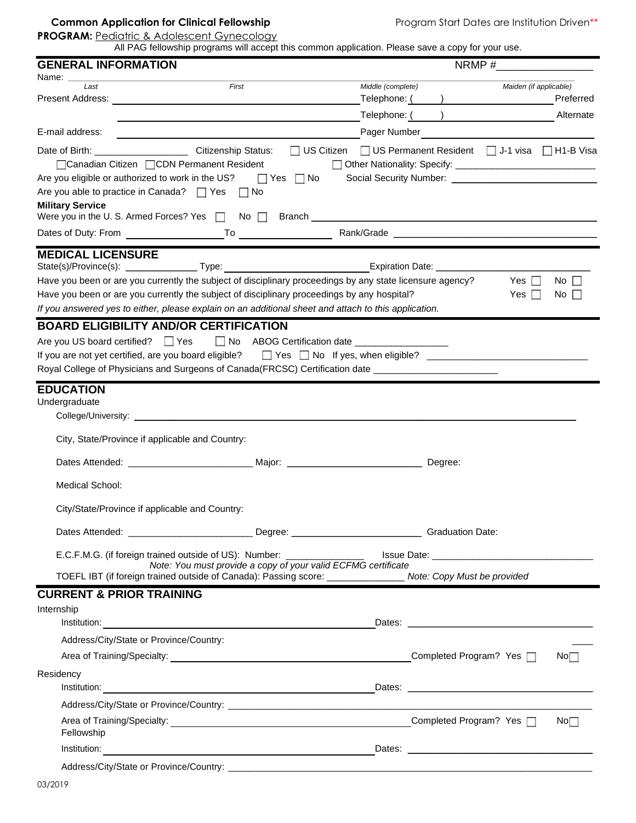## **Common Application for Clinical Fellowship** Program Start Dates are Institution Driven<sup>\*\*</sup>

**PROGRAM: Pediatric & Adolescent Gynecology** 

All PAG fellowship programs will accept this common application. Please save a copy for your use.

| <b>GENERAL INFORMATION</b>                                                                                                                                                                                                                                                      |                                                               | $N$ RMP # $\frac{1}{2}$                                     |  |                          |                                    |
|---------------------------------------------------------------------------------------------------------------------------------------------------------------------------------------------------------------------------------------------------------------------------------|---------------------------------------------------------------|-------------------------------------------------------------|--|--------------------------|------------------------------------|
| Name: _<br>Last                                                                                                                                                                                                                                                                 | First                                                         | Middle (complete)                                           |  | Maiden (if applicable)   |                                    |
|                                                                                                                                                                                                                                                                                 |                                                               |                                                             |  |                          |                                    |
|                                                                                                                                                                                                                                                                                 |                                                               |                                                             |  | Telephone: ( ) Alternate |                                    |
| E-mail address:                                                                                                                                                                                                                                                                 |                                                               | Pager Number                                                |  |                          |                                    |
| Date of Birth: ______________________________ Citizenship Status:<br>□Canadian Citizen □CDN Permanent Resident<br>Are you eligible or authorized to work in the US? $\Box$ Yes $\Box$ No<br>Are you able to practice in Canada? $\Box$ Yes $\Box$ No<br><b>Military Service</b> |                                                               | □ US Citizen □ US Permanent Resident □ J-1 visa □ H1-B Visa |  |                          |                                    |
| Were you in the U.S. Armed Forces? Yes $\Box$ No $\Box$ Branch $\Box$ 2014 2014 2014 2014 2014 2015 2016 2017 2018 2019 2014 2015 2016 2017 2018 2019 2016 2017 2018 2019 2017 2018 2019 2017 2018 2019 2016 2017 2018 2019 2019 20                                             |                                                               |                                                             |  |                          |                                    |
|                                                                                                                                                                                                                                                                                 |                                                               |                                                             |  |                          |                                    |
| <b>MEDICAL LICENSURE</b><br>State(s)/Province(s): ___________________Type: __________________________________Expiration Date: ____________                                                                                                                                      |                                                               |                                                             |  |                          |                                    |
| Have you been or are you currently the subject of disciplinary proceedings by any state licensure agency?                                                                                                                                                                       |                                                               |                                                             |  | Yes $\Box$               | $\overline{N}$ o $\overline{\Box}$ |
| Have you been or are you currently the subject of disciplinary proceedings by any hospital?                                                                                                                                                                                     |                                                               |                                                             |  | Yes                      | No $\Box$                          |
| If you answered yes to either, please explain on an additional sheet and attach to this application.                                                                                                                                                                            |                                                               |                                                             |  |                          |                                    |
| <b>BOARD ELIGIBILITY AND/OR CERTIFICATION</b>                                                                                                                                                                                                                                   |                                                               |                                                             |  |                          |                                    |
| Are you US board certified? □ Yes □ No ABOG Certification date _________________                                                                                                                                                                                                |                                                               |                                                             |  |                          |                                    |
| If you are not yet certified, are you board eligible?                                                                                                                                                                                                                           |                                                               |                                                             |  |                          |                                    |
| Royal College of Physicians and Surgeons of Canada (FRCSC) Certification date ______________________                                                                                                                                                                            |                                                               |                                                             |  |                          |                                    |
| Undergraduate<br>City, State/Province if applicable and Country:                                                                                                                                                                                                                |                                                               |                                                             |  |                          |                                    |
|                                                                                                                                                                                                                                                                                 |                                                               |                                                             |  |                          |                                    |
| <b>Medical School:</b>                                                                                                                                                                                                                                                          |                                                               |                                                             |  |                          |                                    |
| City/State/Province if applicable and Country:                                                                                                                                                                                                                                  |                                                               |                                                             |  |                          |                                    |
|                                                                                                                                                                                                                                                                                 |                                                               |                                                             |  |                          |                                    |
|                                                                                                                                                                                                                                                                                 |                                                               |                                                             |  |                          |                                    |
| TOEFL IBT (if foreign trained outside of Canada): Passing score: ________________ Note: Copy Must be provided                                                                                                                                                                   | Note: You must provide a copy of your valid ECFMG certificate |                                                             |  |                          |                                    |
| <b>CURRENT &amp; PRIOR TRAINING</b>                                                                                                                                                                                                                                             |                                                               |                                                             |  |                          |                                    |
| Internship                                                                                                                                                                                                                                                                      |                                                               |                                                             |  |                          |                                    |
| Address/City/State or Province/Country:                                                                                                                                                                                                                                         |                                                               |                                                             |  |                          |                                    |
|                                                                                                                                                                                                                                                                                 |                                                               |                                                             |  |                          | No <sub>1</sub>                    |
| Residency                                                                                                                                                                                                                                                                       |                                                               |                                                             |  |                          |                                    |
|                                                                                                                                                                                                                                                                                 |                                                               |                                                             |  |                          |                                    |
|                                                                                                                                                                                                                                                                                 |                                                               |                                                             |  |                          | No <sub>1</sub>                    |
| Fellowship                                                                                                                                                                                                                                                                      |                                                               |                                                             |  |                          |                                    |
|                                                                                                                                                                                                                                                                                 |                                                               |                                                             |  |                          |                                    |
|                                                                                                                                                                                                                                                                                 |                                                               |                                                             |  |                          |                                    |